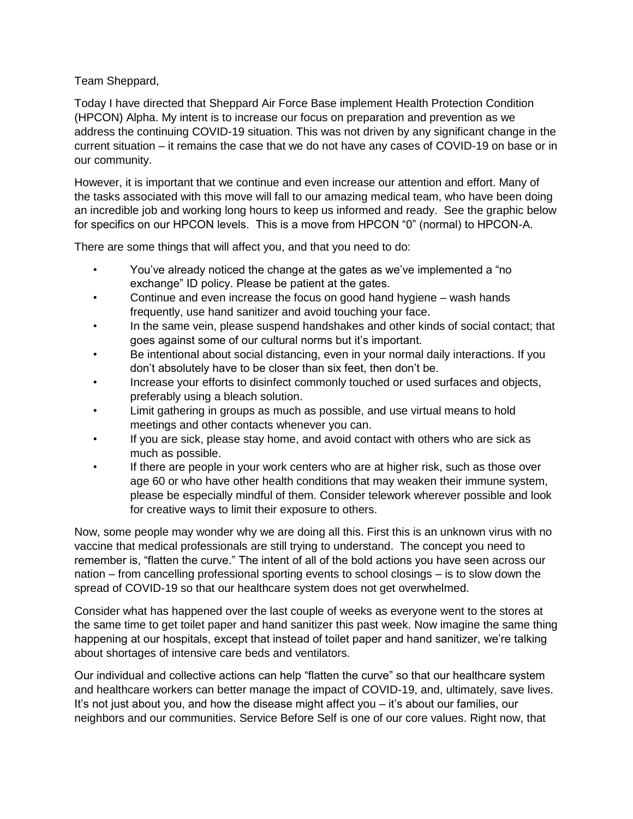## Team Sheppard,

Today I have directed that Sheppard Air Force Base implement Health Protection Condition (HPCON) Alpha. My intent is to increase our focus on preparation and prevention as we address the continuing COVID-19 situation. This was not driven by any significant change in the current situation – it remains the case that we do not have any cases of COVID-19 on base or in our community.

However, it is important that we continue and even increase our attention and effort. Many of the tasks associated with this move will fall to our amazing medical team, who have been doing an incredible job and working long hours to keep us informed and ready. See the graphic below for specifics on our HPCON levels. This is a move from HPCON "0" (normal) to HPCON-A.

There are some things that will affect you, and that you need to do:

- You've already noticed the change at the gates as we've implemented a "no exchange" ID policy. Please be patient at the gates.
- Continue and even increase the focus on good hand hygiene wash hands frequently, use hand sanitizer and avoid touching your face.
- In the same vein, please suspend handshakes and other kinds of social contact; that goes against some of our cultural norms but it's important.
- Be intentional about social distancing, even in your normal daily interactions. If you don't absolutely have to be closer than six feet, then don't be.
- Increase your efforts to disinfect commonly touched or used surfaces and objects, preferably using a bleach solution.
- Limit gathering in groups as much as possible, and use virtual means to hold meetings and other contacts whenever you can.
- If you are sick, please stay home, and avoid contact with others who are sick as much as possible.
- If there are people in your work centers who are at higher risk, such as those over age 60 or who have other health conditions that may weaken their immune system, please be especially mindful of them. Consider telework wherever possible and look for creative ways to limit their exposure to others.

Now, some people may wonder why we are doing all this. First this is an unknown virus with no vaccine that medical professionals are still trying to understand. The concept you need to remember is, "flatten the curve." The intent of all of the bold actions you have seen across our nation – from cancelling professional sporting events to school closings – is to slow down the spread of COVID-19 so that our healthcare system does not get overwhelmed.

Consider what has happened over the last couple of weeks as everyone went to the stores at the same time to get toilet paper and hand sanitizer this past week. Now imagine the same thing happening at our hospitals, except that instead of toilet paper and hand sanitizer, we're talking about shortages of intensive care beds and ventilators.

Our individual and collective actions can help "flatten the curve" so that our healthcare system and healthcare workers can better manage the impact of COVID-19, and, ultimately, save lives. It's not just about you, and how the disease might affect you – it's about our families, our neighbors and our communities. Service Before Self is one of our core values. Right now, that